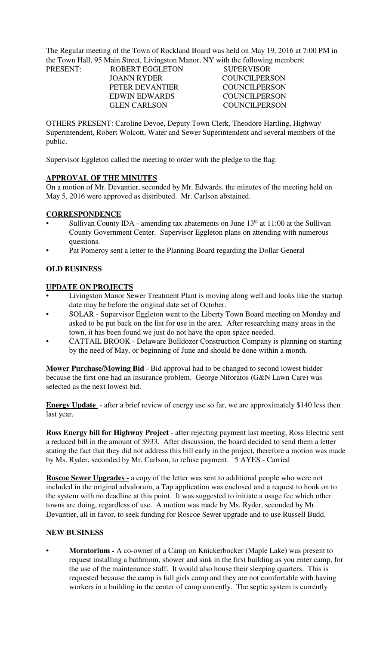The Regular meeting of the Town of Rockland Board was held on May 19, 2016 at 7:00 PM in the Town Hall, 95 Main Street, Livingston Manor, NY with the following members: PRESENT:

| <b>PRESENT:</b> | <b>ROBERT EGGLETON</b> | <b>SUPERVISOR</b>    |
|-----------------|------------------------|----------------------|
|                 | JOANN RYDER            | <b>COUNCILPERSON</b> |
|                 | PETER DEVANTIER        | COUNCIL PERSON       |
|                 | EDWIN EDWARDS          | <b>COUNCILPERSON</b> |
|                 | <b>GLEN CARLSON</b>    | COUNCILPERSON        |

OTHERS PRESENT: Caroline Devoe, Deputy Town Clerk, Theodore Hartling, Highway Superintendent, Robert Wolcott, Water and Sewer Superintendent and several members of the public.

Supervisor Eggleton called the meeting to order with the pledge to the flag.

## **APPROVAL OF THE MINUTES**

On a motion of Mr. Devantier, seconded by Mr. Edwards, the minutes of the meeting held on May 5, 2016 were approved as distributed. Mr. Carlson abstained.

## **CORRESPONDENCE**

- Sullivan County IDA amending tax abatements on June  $13<sup>th</sup>$  at  $11:00$  at the Sullivan County Government Center. Supervisor Eggleton plans on attending with numerous questions.
- Pat Pomeroy sent a letter to the Planning Board regarding the Dollar General

## **OLD BUSINESS**

#### **UPDATE ON PROJECTS**

- Livingston Manor Sewer Treatment Plant is moving along well and looks like the startup date may be before the original date set of October.
- SOLAR Supervisor Eggleton went to the Liberty Town Board meeting on Monday and asked to be put back on the list for use in the area. After researching many areas in the town, it has been found we just do not have the open space needed.
- CATTAIL BROOK Delaware Bulldozer Construction Company is planning on starting by the need of May, or beginning of June and should be done within a month.

**Mower Purchase/Mowing Bid** - Bid approval had to be changed to second lowest bidder because the first one had an insurance problem. George Niforatos (G&N Lawn Care) was selected as the next lowest bid.

**Energy Update** - after a brief review of energy use so far, we are approximately \$140 less then last year.

**Ross Energy bill for Highway Project** - after rejecting payment last meeting, Ross Electric sent a reduced bill in the amount of \$933. After discussion, the board decided to send them a letter stating the fact that they did not address this bill early in the project, therefore a motion was made by Ms. Ryder, seconded by Mr. Carlson, to refuse payment. 5 AYES - Carried

**Roscoe Sewer Upgrades -** a copy of the letter was sent to additional people who were not included in the original advalorum, a Tap application was enclosed and a request to hook on to the system with no deadline at this point. It was suggested to initiate a usage fee which other towns are doing, regardless of use. A motion was made by Ms. Ryder, seconded by Mr. Devantier, all in favor, to seek funding for Roscoe Sewer upgrade and to use Russell Budd.

## **NEW BUSINESS**

• **Moratorium -** A co-owner of a Camp on Knickerbocker (Maple Lake) was present to request installing a bathroom, shower and sink in the first building as you enter camp, for the use of the maintenance staff. It would also house their sleeping quarters. This is requested because the camp is full girls camp and they are not comfortable with having workers in a building in the center of camp currently. The septic system is currently